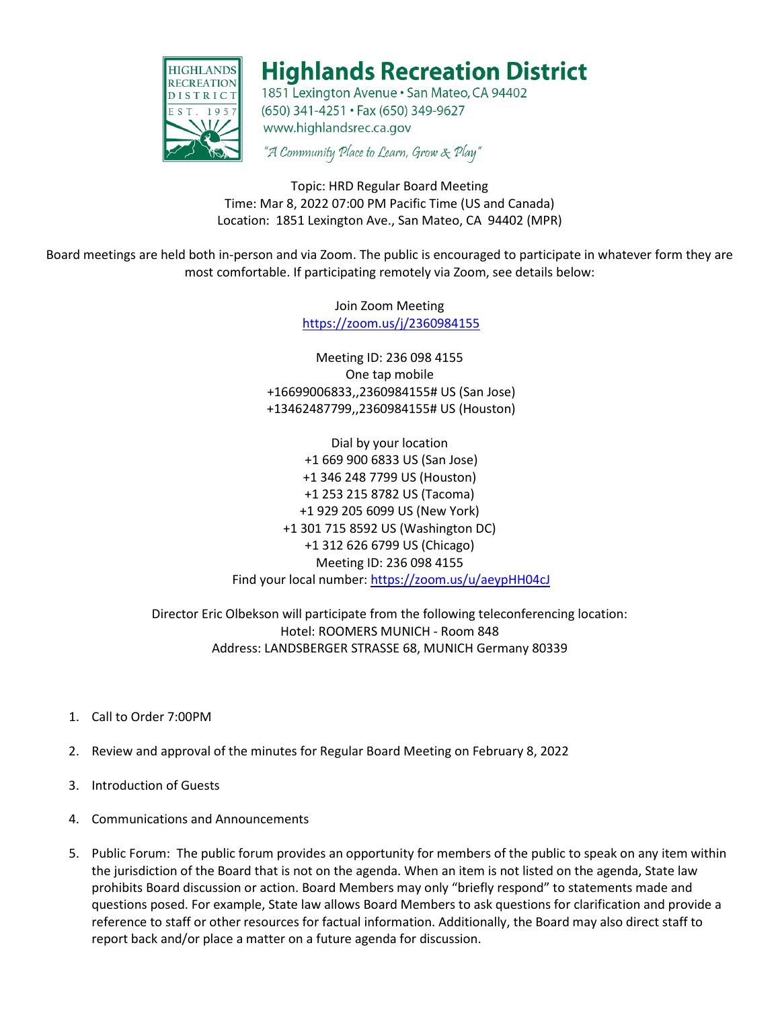

## **Highlands Recreation District**

1851 Lexington Avenue · San Mateo, CA 94402 (650) 341-4251 · Fax (650) 349-9627 www.highlandsrec.ca.gov

"A Community Place to Learn, Grow & Play"

Topic: HRD Regular Board Meeting Time: Mar 8, 2022 07:00 PM Pacific Time (US and Canada) Location: 1851 Lexington Ave., San Mateo, CA 94402 (MPR)

Board meetings are held both in-person and via Zoom. The public is encouraged to participate in whatever form they are most comfortable. If participating remotely via Zoom, see details below:

> Join Zoom Meeting <https://zoom.us/j/2360984155>

Meeting ID: 236 098 4155 One tap mobile +16699006833,,2360984155# US (San Jose) +13462487799,,2360984155# US (Houston)

Dial by your location +1 669 900 6833 US (San Jose) +1 346 248 7799 US (Houston) +1 253 215 8782 US (Tacoma) +1 929 205 6099 US (New York) +1 301 715 8592 US (Washington DC) +1 312 626 6799 US (Chicago) Meeting ID: 236 098 4155 Find your local number:<https://zoom.us/u/aeypHH04cJ>

Director Eric Olbekson will participate from the following teleconferencing location: Hotel: ROOMERS MUNICH - Room 848 Address: LANDSBERGER STRASSE 68, MUNICH Germany 80339

- 1. Call to Order 7:00PM
- 2. Review and approval of the minutes for Regular Board Meeting on February 8, 2022
- 3. Introduction of Guests
- 4. Communications and Announcements
- 5. Public Forum: The public forum provides an opportunity for members of the public to speak on any item within the jurisdiction of the Board that is not on the agenda. When an item is not listed on the agenda, State law prohibits Board discussion or action. Board Members may only "briefly respond" to statements made and questions posed. For example, State law allows Board Members to ask questions for clarification and provide a reference to staff or other resources for factual information. Additionally, the Board may also direct staff to report back and/or place a matter on a future agenda for discussion.